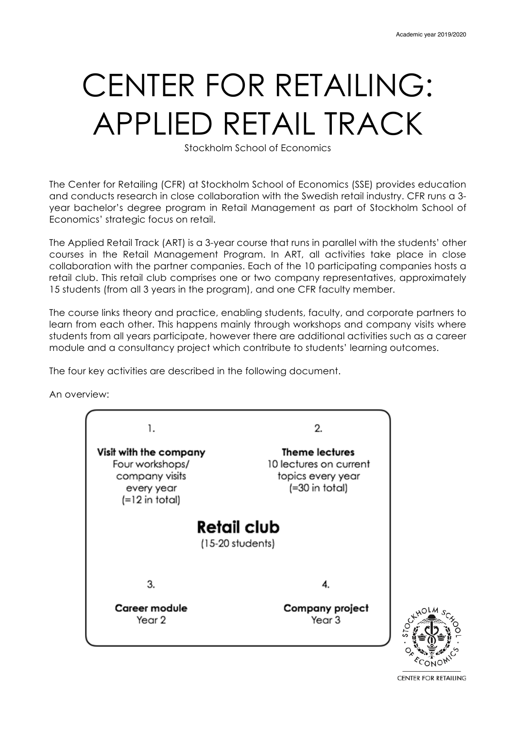# CENTER FOR RETAILING: APPLIED RETAIL TRACK

Stockholm School of Economics

The Center for Retailing (CFR) at Stockholm School of Economics (SSE) provides education and conducts research in close collaboration with the Swedish retail industry. CFR runs a 3 year bachelor's degree program in Retail Management as part of Stockholm School of Economics' strategic focus on retail.

The Applied Retail Track (ART) is a 3-year course that runs in parallel with the students' other courses in the Retail Management Program. In ART, all activities take place in close collaboration with the partner companies. Each of the 10 participating companies hosts a retail club. This retail club comprises one or two company representatives, approximately 15 students (from all 3 years in the program), and one CFR faculty member.

The course links theory and practice, enabling students, faculty, and corporate partners to learn from each other. This happens mainly through workshops and company visits where students from all years participate, however there are additional activities such as a career module and a consultancy project which contribute to students' learning outcomes.

The four key activities are described in the following document.

An overview:





**CENTER FOR RETAILING**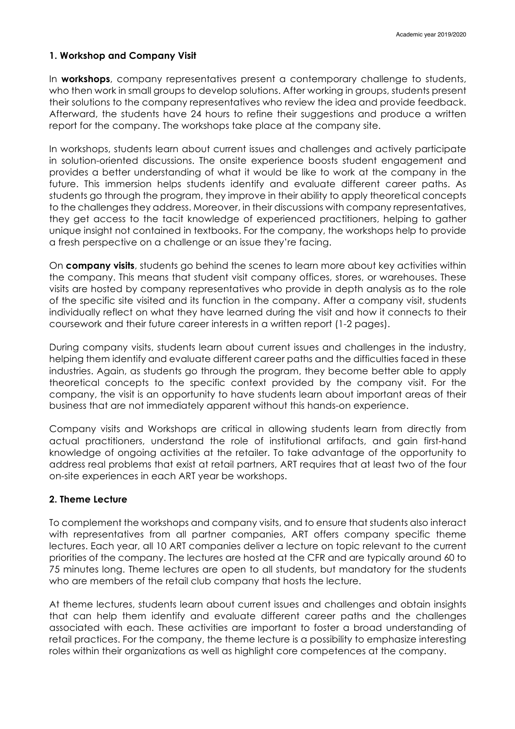### **1. Workshop and Company Visit**

In **workshops**, company representatives present a contemporary challenge to students, who then work in small groups to develop solutions. After working in groups, students present their solutions to the company representatives who review the idea and provide feedback. Afterward, the students have 24 hours to refine their suggestions and produce a written report for the company. The workshops take place at the company site.

In workshops, students learn about current issues and challenges and actively participate in solution-oriented discussions. The onsite experience boosts student engagement and provides a better understanding of what it would be like to work at the company in the future. This immersion helps students identify and evaluate different career paths. As students go through the program, they improve in their ability to apply theoretical concepts to the challenges they address. Moreover, in their discussions with company representatives, they get access to the tacit knowledge of experienced practitioners, helping to gather unique insight not contained in textbooks. For the company, the workshops help to provide a fresh perspective on a challenge or an issue they're facing.

On **company visits**, students go behind the scenes to learn more about key activities within the company. This means that student visit company offices, stores, or warehouses. These visits are hosted by company representatives who provide in depth analysis as to the role of the specific site visited and its function in the company. After a company visit, students individually reflect on what they have learned during the visit and how it connects to their coursework and their future career interests in a written report (1-2 pages).

During company visits, students learn about current issues and challenges in the industry, helping them identify and evaluate different career paths and the difficulties faced in these industries. Again, as students go through the program, they become better able to apply theoretical concepts to the specific context provided by the company visit. For the company, the visit is an opportunity to have students learn about important areas of their business that are not immediately apparent without this hands-on experience.

Company visits and Workshops are critical in allowing students learn from directly from actual practitioners, understand the role of institutional artifacts, and gain first-hand knowledge of ongoing activities at the retailer. To take advantage of the opportunity to address real problems that exist at retail partners, ART requires that at least two of the four on-site experiences in each ART year be workshops.

## **2. Theme Lecture**

To complement the workshops and company visits, and to ensure that students also interact with representatives from all partner companies, ART offers company specific theme lectures. Each year, all 10 ART companies deliver a lecture on topic relevant to the current priorities of the company. The lectures are hosted at the CFR and are typically around 60 to 75 minutes long. Theme lectures are open to all students, but mandatory for the students who are members of the retail club company that hosts the lecture.

At theme lectures, students learn about current issues and challenges and obtain insights that can help them identify and evaluate different career paths and the challenges associated with each. These activities are important to foster a broad understanding of retail practices. For the company, the theme lecture is a possibility to emphasize interesting roles within their organizations as well as highlight core competences at the company.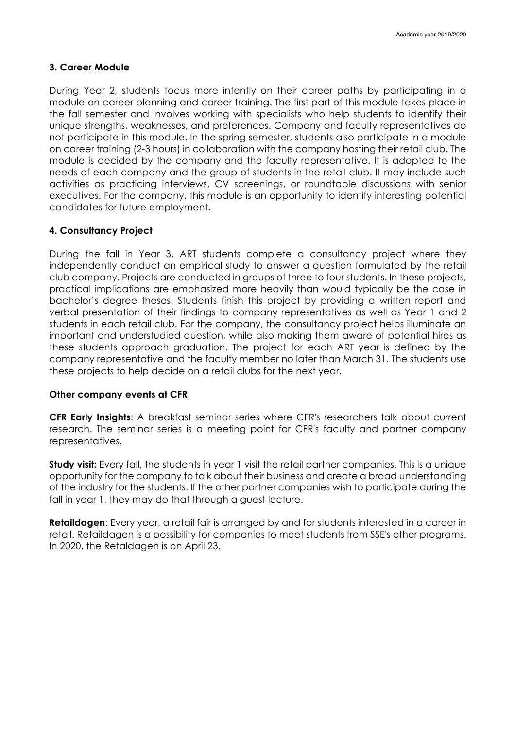## **3. Career Module**

During Year 2, students focus more intently on their career paths by participating in a module on career planning and career training. The first part of this module takes place in the fall semester and involves working with specialists who help students to identify their unique strengths, weaknesses, and preferences. Company and faculty representatives do not participate in this module. In the spring semester, students also participate in a module on career training (2-3 hours) in collaboration with the company hosting their retail club. The module is decided by the company and the faculty representative. It is adapted to the needs of each company and the group of students in the retail club. It may include such activities as practicing interviews, CV screenings, or roundtable discussions with senior executives. For the company, this module is an opportunity to identify interesting potential candidates for future employment.

## **4. Consultancy Project**

During the fall in Year 3, ART students complete a consultancy project where they independently conduct an empirical study to answer a question formulated by the retail club company. Projects are conducted in groups of three to four students. In these projects, practical implications are emphasized more heavily than would typically be the case in bachelor's degree theses. Students finish this project by providing a written report and verbal presentation of their findings to company representatives as well as Year 1 and 2 students in each retail club. For the company, the consultancy project helps illuminate an important and understudied question, while also making them aware of potential hires as these students approach graduation. The project for each ART year is defined by the company representative and the faculty member no later than March 31. The students use these projects to help decide on a retail clubs for the next year.

#### **Other company events at CFR**

**CFR Early Insights**: A breakfast seminar series where CFR's researchers talk about current research. The seminar series is a meeting point for CFR's faculty and partner company representatives.

**Study visit:** Every fall, the students in year 1 visit the retail partner companies. This is a unique opportunity for the company to talk about their business and create a broad understanding of the industry for the students. If the other partner companies wish to participate during the fall in year 1, they may do that through a quest lecture.

**Retaildagen**: Every year, a retail fair is arranged by and for students interested in a career in retail. Retaildagen is a possibility for companies to meet students from SSE's other programs. In 2020, the Retaldagen is on April 23.